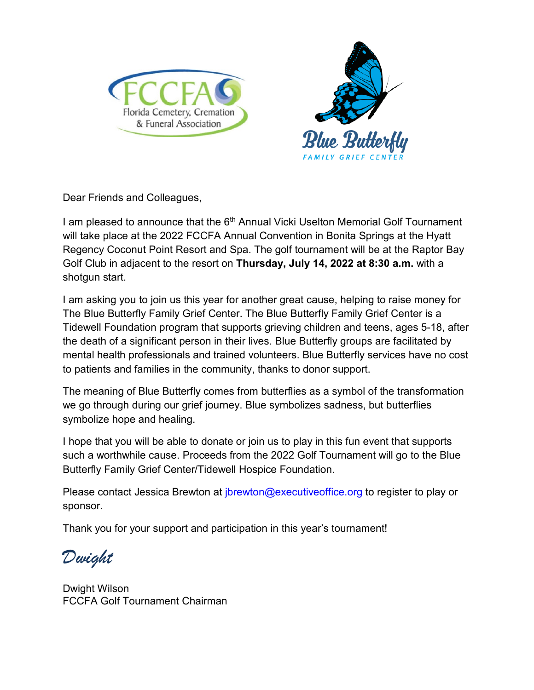



Dear Friends and Colleagues,

I am pleased to announce that the 6<sup>th</sup> Annual Vicki Uselton Memorial Golf Tournament will take place at the 2022 FCCFA Annual Convention in Bonita Springs at the Hyatt Regency Coconut Point Resort and Spa. The golf tournament will be at the Raptor Bay Golf Club in adjacent to the resort on **Thursday, July 14, 2022 at 8:30 a.m.** with a shotgun start.

I am asking you to join us this year for another great cause, helping to raise money for The Blue Butterfly Family Grief Center. The Blue Butterfly Family Grief Center is a Tidewell Foundation program that supports grieving children and teens, ages 5-18, after the death of a significant person in their lives. Blue Butterfly groups are facilitated by mental health professionals and trained volunteers. Blue Butterfly services have no cost to patients and families in the community, thanks to donor support.

The meaning of Blue Butterfly comes from butterflies as a symbol of the transformation we go through during our grief journey. Blue symbolizes sadness, but butterflies symbolize hope and healing.

I hope that you will be able to donate or join us to play in this fun event that supports such a worthwhile cause. Proceeds from the 2022 Golf Tournament will go to the Blue Butterfly Family Grief Center/Tidewell Hospice Foundation.

Please contact Jessica Brewton at *jbrewton@executiveoffice.org* to register to play or sponsor.

Thank you for your support and participation in this year's tournament!

*Dwight*

Dwight Wilson FCCFA Golf Tournament Chairman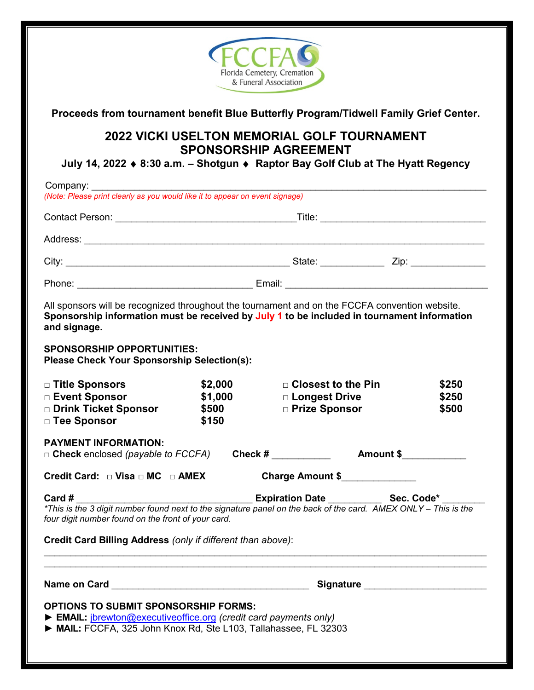

**Proceeds from tournament benefit Blue Butterfly Program/Tidwell Family Grief Center.** 

## **2022 VICKI USELTON MEMORIAL GOLF TOURNAMENT SPONSORSHIP AGREEMENT**

**July 14, 2022** ♦ **8:30 a.m. – Shotgun** ♦ **Raptor Bay Golf Club at The Hyatt Regency**

| (Note: Please print clearly as you would like it to appear on event signage)                                                                                                                                                                                                                    |                                              |                                                                                          |                         |  |
|-------------------------------------------------------------------------------------------------------------------------------------------------------------------------------------------------------------------------------------------------------------------------------------------------|----------------------------------------------|------------------------------------------------------------------------------------------|-------------------------|--|
|                                                                                                                                                                                                                                                                                                 |                                              |                                                                                          |                         |  |
|                                                                                                                                                                                                                                                                                                 |                                              |                                                                                          |                         |  |
|                                                                                                                                                                                                                                                                                                 |                                              |                                                                                          |                         |  |
|                                                                                                                                                                                                                                                                                                 |                                              |                                                                                          |                         |  |
| All sponsors will be recognized throughout the tournament and on the FCCFA convention website.<br>Sponsorship information must be received by July 1 to be included in tournament information<br>and signage.                                                                                   |                                              |                                                                                          |                         |  |
| <b>SPONSORSHIP OPPORTUNITIES:</b><br><b>Please Check Your Sponsorship Selection(s):</b>                                                                                                                                                                                                         |                                              |                                                                                          |                         |  |
| □ Title Sponsors<br>□ Event Sponsor<br>Drink Ticket Sponsor<br>□ Tee Sponsor                                                                                                                                                                                                                    | \$2,000<br>\$1,000<br>\$500<br>\$150         | $\Box$ Closest to the Pin<br>□ Longest Drive<br>□ Prize Sponsor                          | \$250<br>\$250<br>\$500 |  |
| <b>PAYMENT INFORMATION:</b><br>□ Check enclosed (payable to FCCFA) Check # ___________<br>Amount \$                                                                                                                                                                                             |                                              |                                                                                          |                         |  |
| Credit Card: $\Box$ Visa $\Box$ MC $\Box$ AMEX<br>Card #<br>*This is the 3 digit number found next to the signature panel on the back of the card. AMEX ONLY - This is the<br>four digit number found on the front of your card.<br>Credit Card Billing Address (only if different than above): |                                              | Charge Amount \$<br>______________________ Expiration Date _____________ Sec. Code* ____ |                         |  |
|                                                                                                                                                                                                                                                                                                 | Signature Signature Signature Communications |                                                                                          |                         |  |
| <b>OPTIONS TO SUBMIT SPONSORSHIP FORMS:</b><br>EMAIL: <i>jbrewton@executiveoffice.org</i> (credit card payments only)<br>MAIL: FCCFA, 325 John Knox Rd, Ste L103, Tallahassee, FL 32303                                                                                                         |                                              |                                                                                          |                         |  |